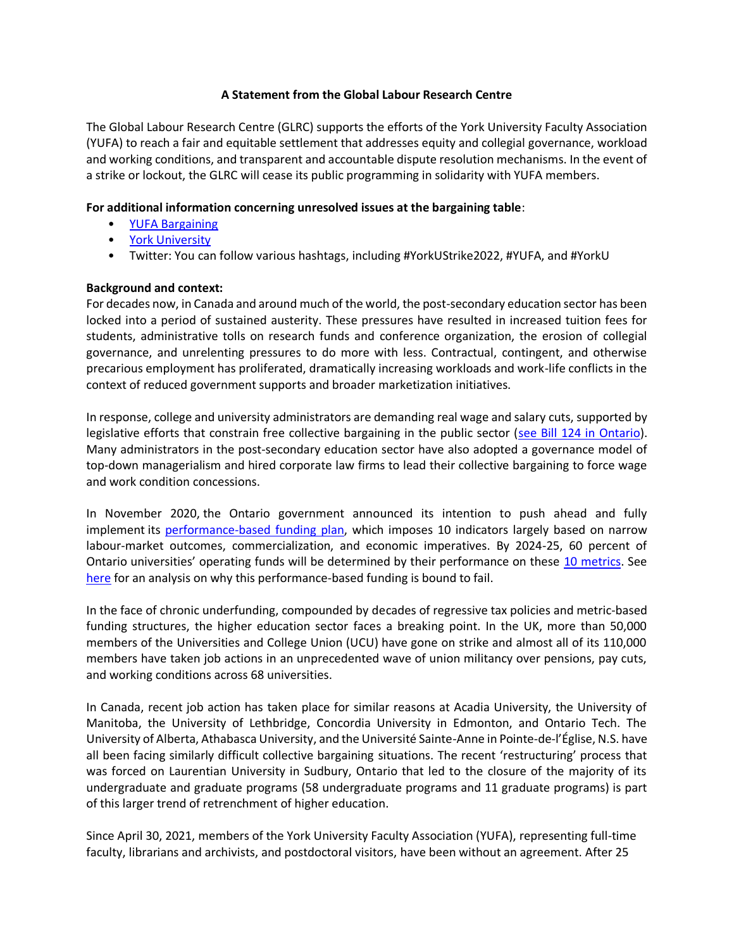#### **A Statement from the Global Labour Research Centre**

The Global Labour Research Centre (GLRC) supports the efforts of the York University Faculty Association (YUFA) to reach a fair and equitable settlement that addresses equity and collegial governance, workload and working conditions, and transparent and accountable dispute resolution mechanisms. In the event of a strike or lockout, the GLRC will cease its public programming in solidarity with YUFA members.

### **For additional information concerning unresolved issues at the bargaining table**:

- [YUFA Bargaining](https://www.yorku.ca/yufabargaining/community-updates/)
- [York University](https://www.yorku.ca/yufabargaining/community-updates/)
- Twitter: You can follow various hashtags, including #YorkUStrike2022, #YUFA, and #YorkU

### **Background and context:**

For decades now, in Canada and around much of the world, the post-secondary education sector has been locked into a period of sustained austerity. These pressures have resulted in increased tuition fees for students, administrative tolls on research funds and conference organization, the erosion of collegial governance, and unrelenting pressures to do more with less. Contractual, contingent, and otherwise precarious employment has proliferated, dramatically increasing workloads and work-life conflicts in the context of reduced government supports and broader marketization initiatives.

In response, college and university administrators are demanding real wage and salary cuts, supported by legislative efforts that constrain free collective bargaining in the public sector [\(see Bill 124 in Ontario\)](https://opseu.org/news/locktalk-2-everything-you-wanted-to-know-about-bill-124/135295/). Many administrators in the post-secondary education sector have also adopted a governance model of top-down managerialism and hired corporate law firms to lead their collective bargaining to force wage and work condition concessions.

In November 2020, the Ontario government announced its intention to push ahead and fully implement its [performance-based funding plan,](https://news.ontario.ca/en/release/59368/promoting-excellence-ontario-implements-performance-based-funding-for-postsecondary-institutions) which imposes 10 indicators largely based on narrow labour-market outcomes, commercialization, and economic imperatives. By 2024-25, 60 percent of Ontario universities' operating funds will be determined by their performance on these [10 metrics.](https://www.ontario.ca/page/all-college-and-university-strategic-mandate-agreements) See [here](https://www.universityaffairs.ca/opinion/in-my-opinion/university-performance-based-funding-is-bound-to-fail/) for an analysis on why this performance-based funding is bound to fail.

In the face of chronic underfunding, compounded by decades of regressive tax policies and metric-based funding structures, the higher education sector faces a breaking point. In the UK, more than 50,000 members of the Universities and College Union (UCU) have gone on strike and almost all of its 110,000 members have taken job actions in an unprecedented wave of union militancy over pensions, pay cuts, and working conditions across 68 universities.

In Canada, recent job action has taken place for similar reasons at Acadia University, the University of Manitoba, the University of Lethbridge, Concordia University in Edmonton, and Ontario Tech. The University of Alberta, Athabasca University, and the Université Sainte-Anne in Pointe-de-l'Église, N.S. have all been facing similarly difficult collective bargaining situations. The recent 'restructuring' process that was forced on Laurentian University in Sudbury, Ontario that led to the closure of the majority of its undergraduate and graduate programs (58 undergraduate programs and 11 graduate programs) is part of this larger trend of retrenchment of higher education.

Since April 30, 2021, members of the York University Faculty Association (YUFA), representing full-time faculty, librarians and archivists, and postdoctoral visitors, have been without an agreement. After 25